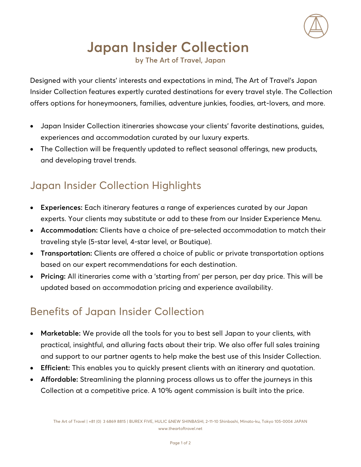

# **Japan Insider Collection**

**by The Art of Travel, Japan**

Designed with your clients' interests and expectations in mind, The Art of Travel's Japan Insider Collection features expertly curated destinations for every travel style. The Collection offers options for honeymooners, families, adventure junkies, foodies, art-lovers, and more.

- Japan Insider Collection itineraries showcase your clients' favorite destinations, guides, experiences and accommodation curated by our luxury experts.
- The Collection will be frequently updated to reflect seasonal offerings, new products, and developing travel trends.

## Japan Insider Collection Highlights

- **Experiences:** Each itinerary features a range of experiences curated by our Japan experts. Your clients may substitute or add to these from our Insider Experience Menu.
- **Accommodation:** Clients have a choice of pre-selected accommodation to match their traveling style (5-star level, 4-star level, or Boutique).
- **Transportation:** Clients are offered a choice of public or private transportation options based on our expert recommendations for each destination.
- **Pricing:** All itineraries come with a 'starting from' per person, per day price. This will be updated based on accommodation pricing and experience availability.

## Benefits of Japan Insider Collection

- **Marketable:** We provide all the tools for you to best sell Japan to your clients, with practical, insightful, and alluring facts about their trip. We also offer full sales training and support to our partner agents to help make the best use of this Insider Collection.
- **Efficient:** This enables you to quickly present clients with an itinerary and quotation.
- **Affordable:** Streamlining the planning process allows us to offer the journeys in this Collection at a competitive price. A 10% agent commission is built into the price.

The Art of Travel | +81 (0) 3 6869 8815 | BUREX FIVE, HULIC &NEW SHINBASHI, 2-11-10 Shinbashi, Minato-ku, Tokyo 105-0004 JAPAN www.theartoftravel.net